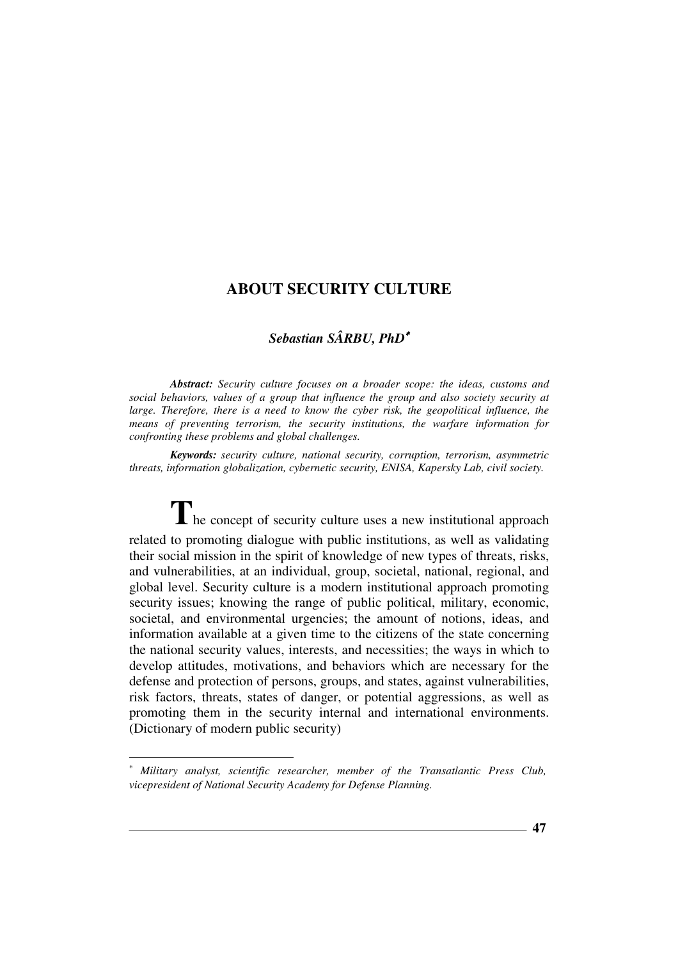## *Sebastian SÂRBU, PhD*<sup>∗</sup>

*Abstract: Security culture focuses on a broader scope: the ideas, customs and social behaviors, values of a group that influence the group and also society security at*  large. Therefore, there is a need to know the cyber risk, the geopolitical influence, the *means of preventing terrorism, the security institutions, the warfare information for confronting these problems and global challenges.* 

*Keywords: security culture, national security, corruption, terrorism, asymmetric threats, information globalization, cybernetic security, ENISA, Kapersky Lab, civil society.* 

The concept of security culture uses a new institutional approach related to promoting dialogue with public institutions, as well as validating their social mission in the spirit of knowledge of new types of threats, risks, and vulnerabilities, at an individual, group, societal, national, regional, and global level. Security culture is a modern institutional approach promoting security issues; knowing the range of public political, military, economic, societal, and environmental urgencies; the amount of notions, ideas, and information available at a given time to the citizens of the state concerning the national security values, interests, and necessities; the ways in which to develop attitudes, motivations, and behaviors which are necessary for the defense and protection of persons, groups, and states, against vulnerabilities, risk factors, threats, states of danger, or potential aggressions, as well as promoting them in the security internal and international environments. (Dictionary of modern public security)

 $\overline{a}$ 

*Military analyst, scientific researcher, member of the Transatlantic Press Club, vicepresident of National Security Academy for Defense Planning.*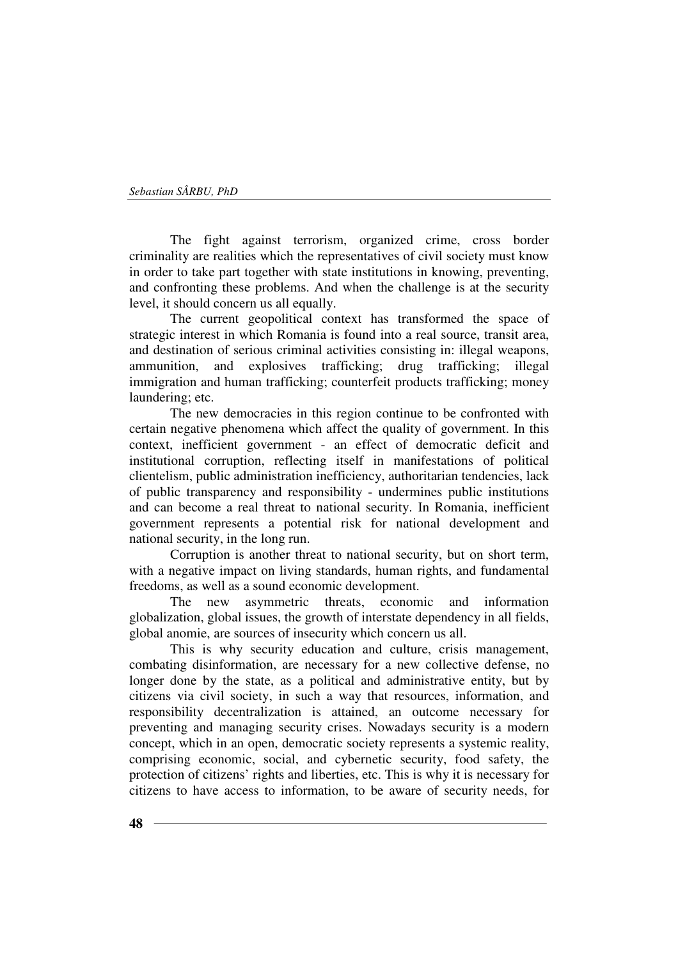The fight against terrorism, organized crime, cross border criminality are realities which the representatives of civil society must know in order to take part together with state institutions in knowing, preventing, and confronting these problems. And when the challenge is at the security level, it should concern us all equally.

The current geopolitical context has transformed the space of strategic interest in which Romania is found into a real source, transit area, and destination of serious criminal activities consisting in: illegal weapons, ammunition, and explosives trafficking; drug trafficking; illegal immigration and human trafficking; counterfeit products trafficking; money laundering; etc.

The new democracies in this region continue to be confronted with certain negative phenomena which affect the quality of government. In this context, inefficient government - an effect of democratic deficit and institutional corruption, reflecting itself in manifestations of political clientelism, public administration inefficiency, authoritarian tendencies, lack of public transparency and responsibility - undermines public institutions and can become a real threat to national security. In Romania, inefficient government represents a potential risk for national development and national security, in the long run.

Corruption is another threat to national security, but on short term, with a negative impact on living standards, human rights, and fundamental freedoms, as well as a sound economic development.

The new asymmetric threats, economic and information globalization, global issues, the growth of interstate dependency in all fields, global anomie, are sources of insecurity which concern us all.

This is why security education and culture, crisis management, combating disinformation, are necessary for a new collective defense, no longer done by the state, as a political and administrative entity, but by citizens via civil society, in such a way that resources, information, and responsibility decentralization is attained, an outcome necessary for preventing and managing security crises. Nowadays security is a modern concept, which in an open, democratic society represents a systemic reality, comprising economic, social, and cybernetic security, food safety, the protection of citizens' rights and liberties, etc. This is why it is necessary for citizens to have access to information, to be aware of security needs, for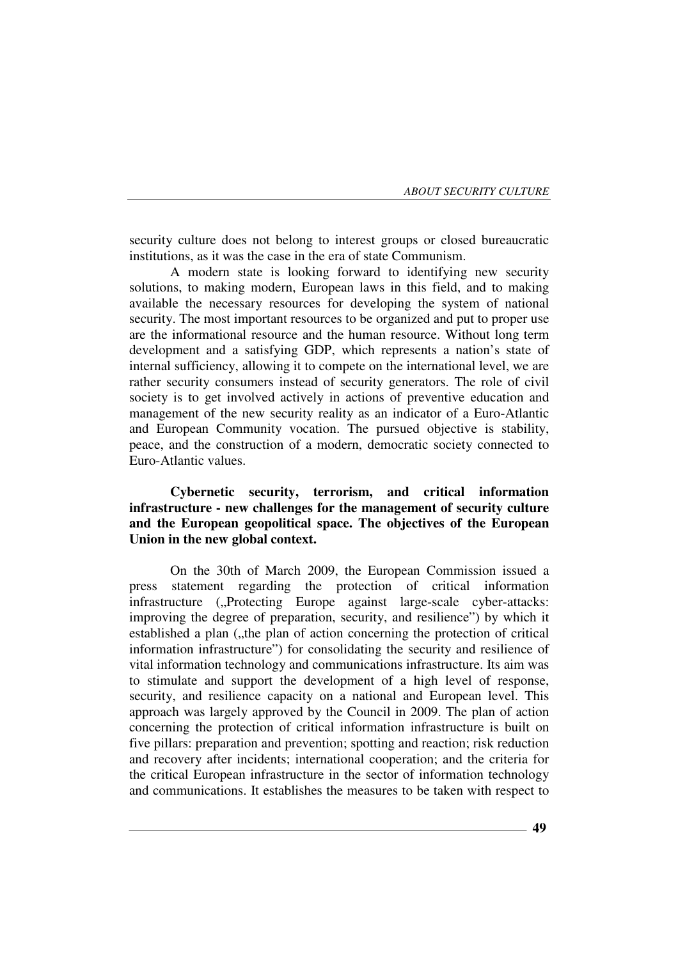security culture does not belong to interest groups or closed bureaucratic institutions, as it was the case in the era of state Communism.

A modern state is looking forward to identifying new security solutions, to making modern, European laws in this field, and to making available the necessary resources for developing the system of national security. The most important resources to be organized and put to proper use are the informational resource and the human resource. Without long term development and a satisfying GDP, which represents a nation's state of internal sufficiency, allowing it to compete on the international level, we are rather security consumers instead of security generators. The role of civil society is to get involved actively in actions of preventive education and management of the new security reality as an indicator of a Euro-Atlantic and European Community vocation. The pursued objective is stability, peace, and the construction of a modern, democratic society connected to Euro-Atlantic values.

**Cybernetic security, terrorism, and critical information infrastructure - new challenges for the management of security culture and the European geopolitical space. The objectives of the European Union in the new global context.** 

On the 30th of March 2009, the European Commission issued a press statement regarding the protection of critical information infrastructure ("Protecting Europe against large-scale cyber-attacks: improving the degree of preparation, security, and resilience") by which it established a plan ("the plan of action concerning the protection of critical information infrastructure") for consolidating the security and resilience of vital information technology and communications infrastructure. Its aim was to stimulate and support the development of a high level of response, security, and resilience capacity on a national and European level. This approach was largely approved by the Council in 2009. The plan of action concerning the protection of critical information infrastructure is built on five pillars: preparation and prevention; spotting and reaction; risk reduction and recovery after incidents; international cooperation; and the criteria for the critical European infrastructure in the sector of information technology and communications. It establishes the measures to be taken with respect to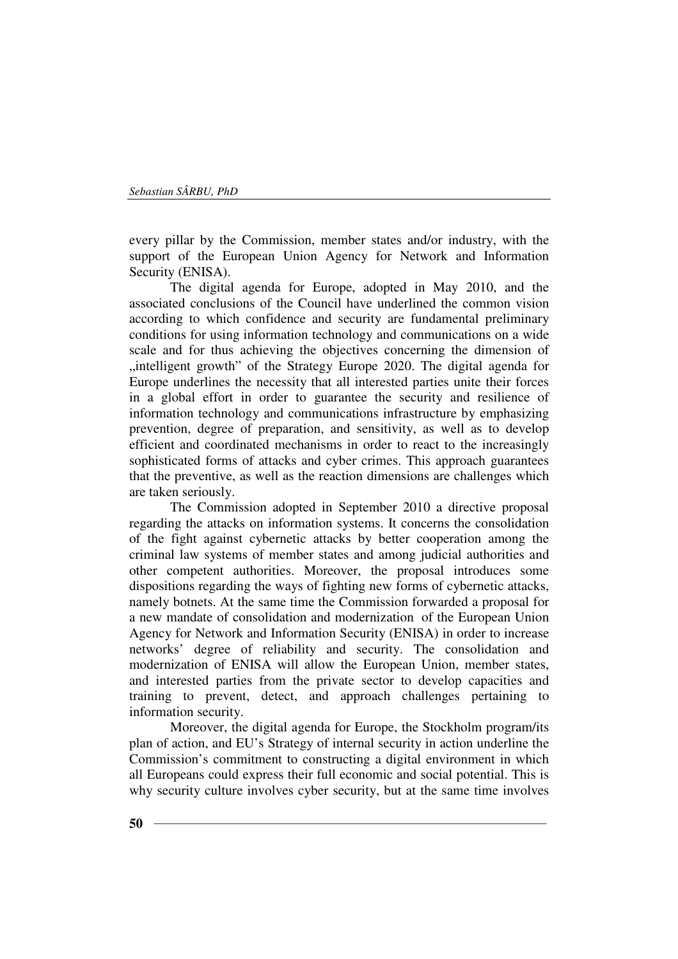every pillar by the Commission, member states and/or industry, with the support of the European Union Agency for Network and Information Security (ENISA).

The digital agenda for Europe, adopted in May 2010, and the associated conclusions of the Council have underlined the common vision according to which confidence and security are fundamental preliminary conditions for using information technology and communications on a wide scale and for thus achieving the objectives concerning the dimension of , intelligent growth" of the Strategy Europe 2020. The digital agenda for Europe underlines the necessity that all interested parties unite their forces in a global effort in order to guarantee the security and resilience of information technology and communications infrastructure by emphasizing prevention, degree of preparation, and sensitivity, as well as to develop efficient and coordinated mechanisms in order to react to the increasingly sophisticated forms of attacks and cyber crimes. This approach guarantees that the preventive, as well as the reaction dimensions are challenges which are taken seriously.

The Commission adopted in September 2010 a directive proposal regarding the attacks on information systems. It concerns the consolidation of the fight against cybernetic attacks by better cooperation among the criminal law systems of member states and among judicial authorities and other competent authorities. Moreover, the proposal introduces some dispositions regarding the ways of fighting new forms of cybernetic attacks, namely botnets. At the same time the Commission forwarded a proposal for a new mandate of consolidation and modernization of the European Union Agency for Network and Information Security (ENISA) in order to increase networks' degree of reliability and security. The consolidation and modernization of ENISA will allow the European Union, member states, and interested parties from the private sector to develop capacities and training to prevent, detect, and approach challenges pertaining to information security.

Moreover, the digital agenda for Europe, the Stockholm program/its plan of action, and EU's Strategy of internal security in action underline the Commission's commitment to constructing a digital environment in which all Europeans could express their full economic and social potential. This is why security culture involves cyber security, but at the same time involves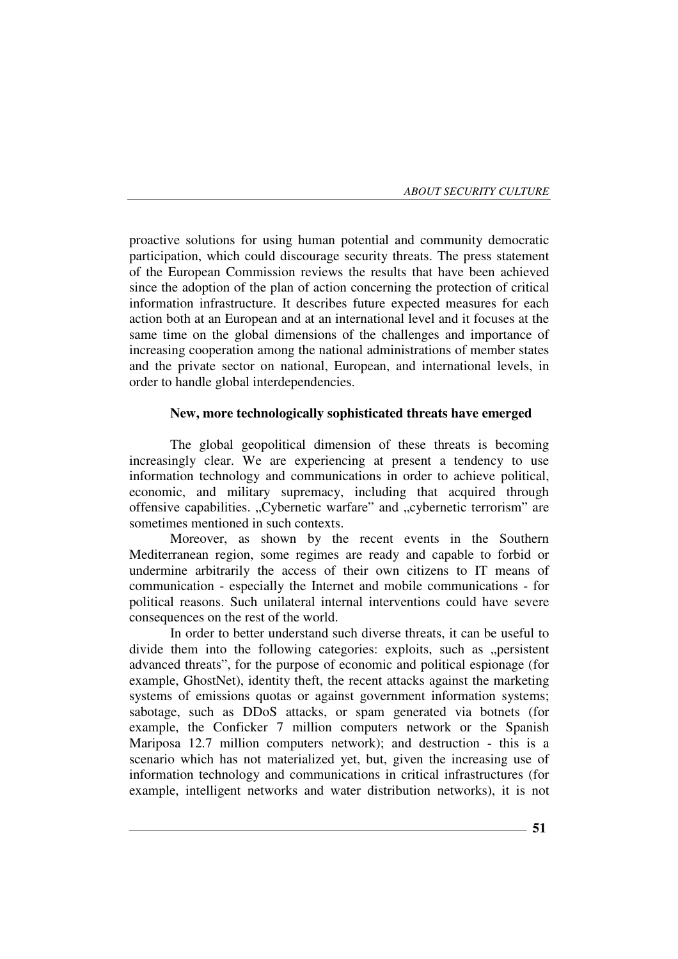proactive solutions for using human potential and community democratic participation, which could discourage security threats. The press statement of the European Commission reviews the results that have been achieved since the adoption of the plan of action concerning the protection of critical information infrastructure. It describes future expected measures for each action both at an European and at an international level and it focuses at the same time on the global dimensions of the challenges and importance of increasing cooperation among the national administrations of member states and the private sector on national, European, and international levels, in order to handle global interdependencies.

### **New, more technologically sophisticated threats have emerged**

The global geopolitical dimension of these threats is becoming increasingly clear. We are experiencing at present a tendency to use information technology and communications in order to achieve political, economic, and military supremacy, including that acquired through offensive capabilities. "Cybernetic warfare" and "cybernetic terrorism" are sometimes mentioned in such contexts.

Moreover, as shown by the recent events in the Southern Mediterranean region, some regimes are ready and capable to forbid or undermine arbitrarily the access of their own citizens to IT means of communication - especially the Internet and mobile communications - for political reasons. Such unilateral internal interventions could have severe consequences on the rest of the world.

In order to better understand such diverse threats, it can be useful to divide them into the following categories: exploits, such as "persistent advanced threats", for the purpose of economic and political espionage (for example, GhostNet), identity theft, the recent attacks against the marketing systems of emissions quotas or against government information systems; sabotage, such as DDoS attacks, or spam generated via botnets (for example, the Conficker 7 million computers network or the Spanish Mariposa 12.7 million computers network); and destruction - this is a scenario which has not materialized yet, but, given the increasing use of information technology and communications in critical infrastructures (for example, intelligent networks and water distribution networks), it is not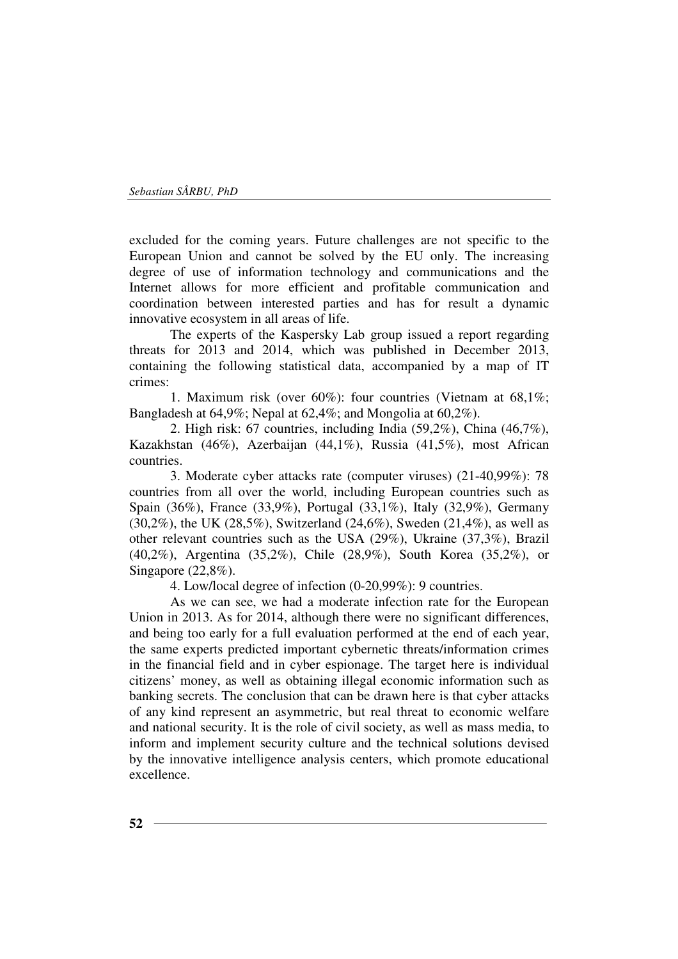excluded for the coming years. Future challenges are not specific to the European Union and cannot be solved by the EU only. The increasing degree of use of information technology and communications and the Internet allows for more efficient and profitable communication and coordination between interested parties and has for result a dynamic innovative ecosystem in all areas of life.

The experts of the Kaspersky Lab group issued a report regarding threats for 2013 and 2014, which was published in December 2013, containing the following statistical data, accompanied by a map of IT crimes:

1. Maximum risk (over 60%): four countries (Vietnam at 68,1%; Bangladesh at 64,9%; Nepal at 62,4%; and Mongolia at 60,2%).

2. High risk: 67 countries, including India (59,2%), China (46,7%), Kazakhstan (46%), Azerbaijan (44,1%), Russia (41,5%), most African countries.

3. Moderate cyber attacks rate (computer viruses) (21-40,99%): 78 countries from all over the world, including European countries such as Spain (36%), France (33,9%), Portugal (33,1%), Italy (32,9%), Germany (30,2%), the UK (28,5%), Switzerland (24,6%), Sweden (21,4%), as well as other relevant countries such as the USA (29%), Ukraine (37,3%), Brazil (40,2%), Argentina (35,2%), Chile (28,9%), South Korea (35,2%), or Singapore  $(22,8\%)$ .

4. Low/local degree of infection (0-20,99%): 9 countries.

As we can see, we had a moderate infection rate for the European Union in 2013. As for 2014, although there were no significant differences, and being too early for a full evaluation performed at the end of each year, the same experts predicted important cybernetic threats/information crimes in the financial field and in cyber espionage. The target here is individual citizens' money, as well as obtaining illegal economic information such as banking secrets. The conclusion that can be drawn here is that cyber attacks of any kind represent an asymmetric, but real threat to economic welfare and national security. It is the role of civil society, as well as mass media, to inform and implement security culture and the technical solutions devised by the innovative intelligence analysis centers, which promote educational excellence.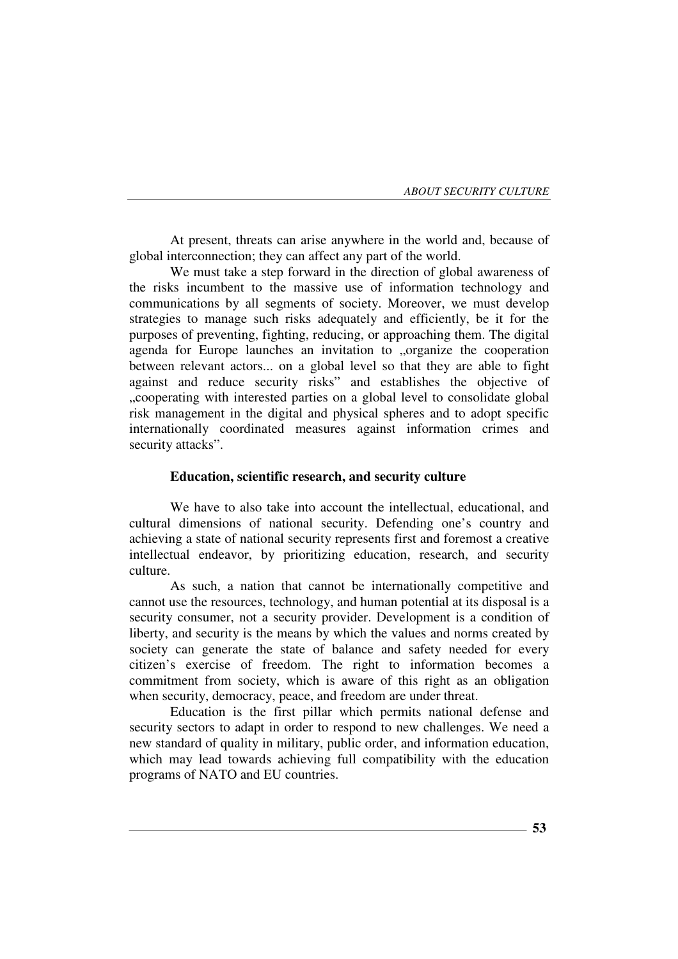At present, threats can arise anywhere in the world and, because of global interconnection; they can affect any part of the world.

We must take a step forward in the direction of global awareness of the risks incumbent to the massive use of information technology and communications by all segments of society. Moreover, we must develop strategies to manage such risks adequately and efficiently, be it for the purposes of preventing, fighting, reducing, or approaching them. The digital agenda for Europe launches an invitation to "organize the cooperation between relevant actors... on a global level so that they are able to fight against and reduce security risks" and establishes the objective of "cooperating with interested parties on a global level to consolidate global risk management in the digital and physical spheres and to adopt specific internationally coordinated measures against information crimes and security attacks".

#### **Education, scientific research, and security culture**

We have to also take into account the intellectual, educational, and cultural dimensions of national security. Defending one's country and achieving a state of national security represents first and foremost a creative intellectual endeavor, by prioritizing education, research, and security culture.

As such, a nation that cannot be internationally competitive and cannot use the resources, technology, and human potential at its disposal is a security consumer, not a security provider. Development is a condition of liberty, and security is the means by which the values and norms created by society can generate the state of balance and safety needed for every citizen's exercise of freedom. The right to information becomes a commitment from society, which is aware of this right as an obligation when security, democracy, peace, and freedom are under threat.

Education is the first pillar which permits national defense and security sectors to adapt in order to respond to new challenges. We need a new standard of quality in military, public order, and information education, which may lead towards achieving full compatibility with the education programs of NATO and EU countries.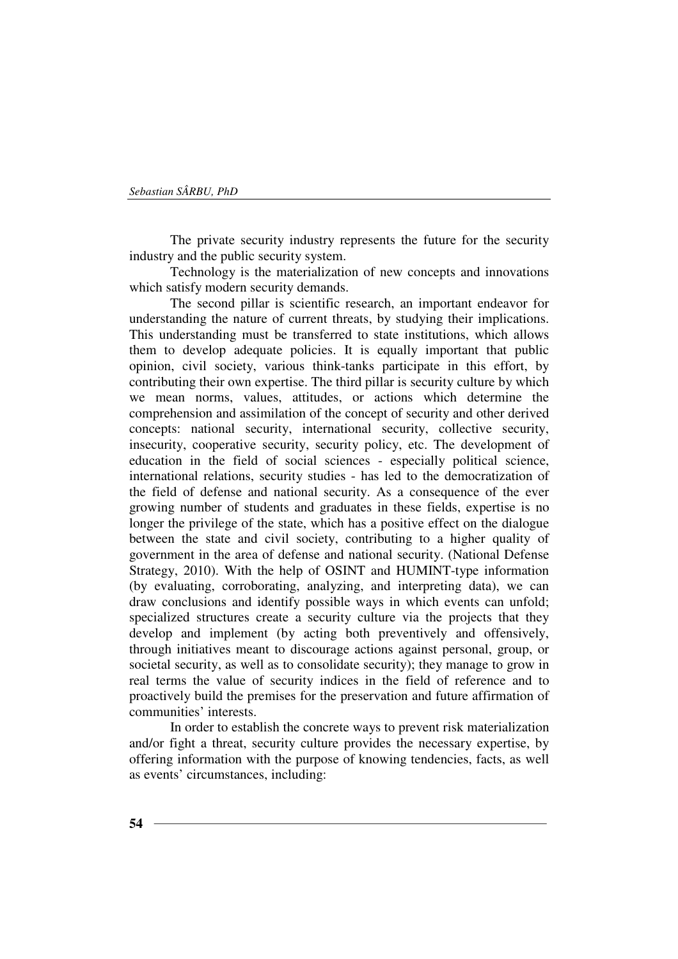The private security industry represents the future for the security industry and the public security system.

Technology is the materialization of new concepts and innovations which satisfy modern security demands.

The second pillar is scientific research, an important endeavor for understanding the nature of current threats, by studying their implications. This understanding must be transferred to state institutions, which allows them to develop adequate policies. It is equally important that public opinion, civil society, various think-tanks participate in this effort, by contributing their own expertise. The third pillar is security culture by which we mean norms, values, attitudes, or actions which determine the comprehension and assimilation of the concept of security and other derived concepts: national security, international security, collective security, insecurity, cooperative security, security policy, etc. The development of education in the field of social sciences - especially political science, international relations, security studies - has led to the democratization of the field of defense and national security. As a consequence of the ever growing number of students and graduates in these fields, expertise is no longer the privilege of the state, which has a positive effect on the dialogue between the state and civil society, contributing to a higher quality of government in the area of defense and national security. (National Defense Strategy, 2010). With the help of OSINT and HUMINT-type information (by evaluating, corroborating, analyzing, and interpreting data), we can draw conclusions and identify possible ways in which events can unfold; specialized structures create a security culture via the projects that they develop and implement (by acting both preventively and offensively, through initiatives meant to discourage actions against personal, group, or societal security, as well as to consolidate security); they manage to grow in real terms the value of security indices in the field of reference and to proactively build the premises for the preservation and future affirmation of communities' interests.

In order to establish the concrete ways to prevent risk materialization and/or fight a threat, security culture provides the necessary expertise, by offering information with the purpose of knowing tendencies, facts, as well as events' circumstances, including: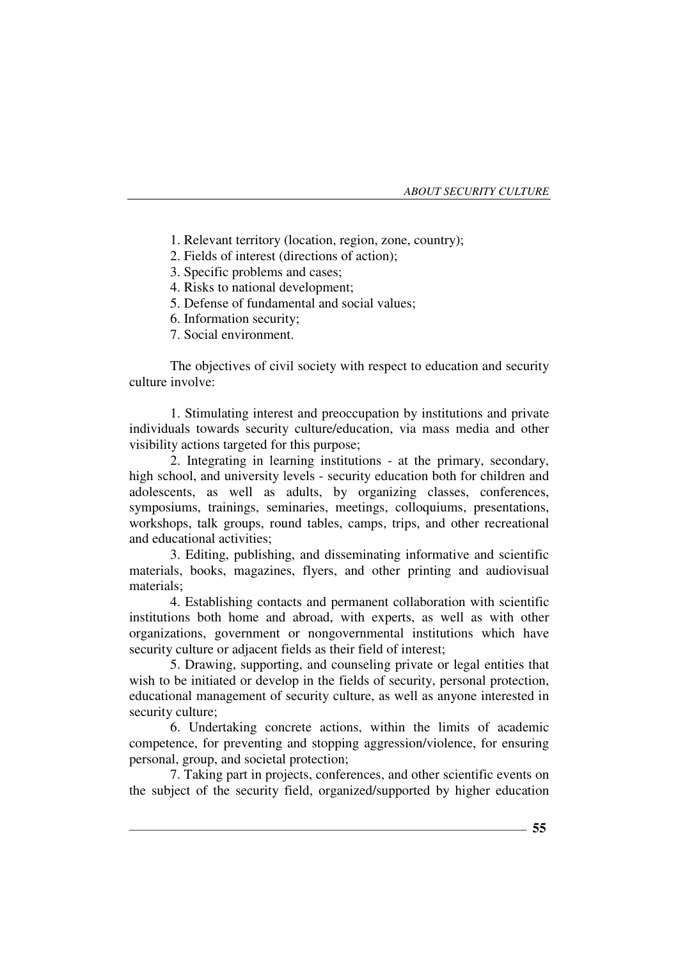1. Relevant territory (location, region, zone, country);

- 2. Fields of interest (directions of action);
- 3. Specific problems and cases;
- 4. Risks to national development;
- 5. Defense of fundamental and social values;
- 6. Information security;
- 7. Social environment.

The objectives of civil society with respect to education and security culture involve:

1. Stimulating interest and preoccupation by institutions and private individuals towards security culture/education, via mass media and other visibility actions targeted for this purpose;

2. Integrating in learning institutions - at the primary, secondary, high school, and university levels - security education both for children and adolescents, as well as adults, by organizing classes, conferences, symposiums, trainings, seminaries, meetings, colloquiums, presentations, workshops, talk groups, round tables, camps, trips, and other recreational and educational activities;

3. Editing, publishing, and disseminating informative and scientific materials, books, magazines, flyers, and other printing and audiovisual materials;

4. Establishing contacts and permanent collaboration with scientific institutions both home and abroad, with experts, as well as with other organizations, government or nongovernmental institutions which have security culture or adjacent fields as their field of interest;

5. Drawing, supporting, and counseling private or legal entities that wish to be initiated or develop in the fields of security, personal protection, educational management of security culture, as well as anyone interested in security culture;

6. Undertaking concrete actions, within the limits of academic competence, for preventing and stopping aggression/violence, for ensuring personal, group, and societal protection;

7. Taking part in projects, conferences, and other scientific events on the subject of the security field, organized/supported by higher education